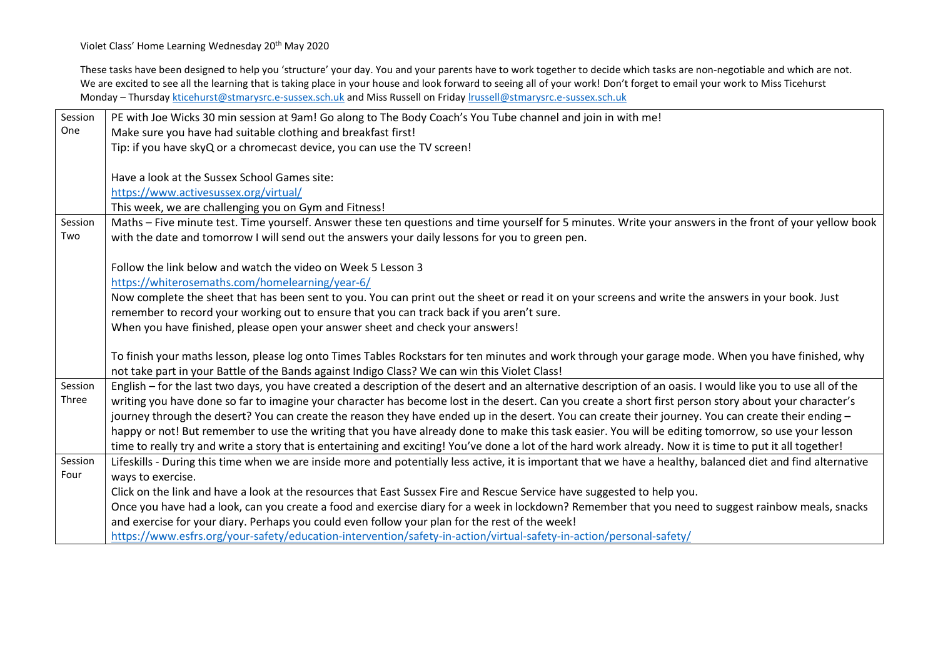Violet Class' Home Learning Wednesday 20<sup>th</sup> May 2020

These tasks have been designed to help you 'structure' your day. You and your parents have to work together to decide which tasks are non-negotiable and which are not. We are excited to see all the learning that is taking place in your house and look forward to seeing all of your work! Don't forget to email your work to Miss Ticehurst Monday – Thursday [kticehurst@stmarysrc.e-sussex.sch.uk](mailto:kticehurst@stmarysrc.e-sussex.sch.uk) and Miss Russell on Friday [lrussell@stmarysrc.e-sussex.sch.uk](mailto:lrussell@stmarysrc.e-sussex.sch.uk)

| Session | PE with Joe Wicks 30 min session at 9am! Go along to The Body Coach's You Tube channel and join in with me!                                                   |
|---------|---------------------------------------------------------------------------------------------------------------------------------------------------------------|
| One     | Make sure you have had suitable clothing and breakfast first!                                                                                                 |
|         | Tip: if you have skyQ or a chromecast device, you can use the TV screen!                                                                                      |
|         |                                                                                                                                                               |
|         | Have a look at the Sussex School Games site:                                                                                                                  |
|         | https://www.activesussex.org/virtual/                                                                                                                         |
|         | This week, we are challenging you on Gym and Fitness!                                                                                                         |
| Session | Maths - Five minute test. Time yourself. Answer these ten questions and time yourself for 5 minutes. Write your answers in the front of your yellow book      |
| Two     | with the date and tomorrow I will send out the answers your daily lessons for you to green pen.                                                               |
|         |                                                                                                                                                               |
|         | Follow the link below and watch the video on Week 5 Lesson 3                                                                                                  |
|         | https://whiterosemaths.com/homelearning/year-6/                                                                                                               |
|         | Now complete the sheet that has been sent to you. You can print out the sheet or read it on your screens and write the answers in your book. Just             |
|         | remember to record your working out to ensure that you can track back if you aren't sure.                                                                     |
|         | When you have finished, please open your answer sheet and check your answers!                                                                                 |
|         |                                                                                                                                                               |
|         | To finish your maths lesson, please log onto Times Tables Rockstars for ten minutes and work through your garage mode. When you have finished, why            |
|         | not take part in your Battle of the Bands against Indigo Class? We can win this Violet Class!                                                                 |
| Session | English - for the last two days, you have created a description of the desert and an alternative description of an oasis. I would like you to use all of the  |
| Three   | writing you have done so far to imagine your character has become lost in the desert. Can you create a short first person story about your character's        |
|         | journey through the desert? You can create the reason they have ended up in the desert. You can create their journey. You can create their ending -           |
|         | happy or not! But remember to use the writing that you have already done to make this task easier. You will be editing tomorrow, so use your lesson           |
|         | time to really try and write a story that is entertaining and exciting! You've done a lot of the hard work already. Now it is time to put it all together!    |
| Session | Lifeskills - During this time when we are inside more and potentially less active, it is important that we have a healthy, balanced diet and find alternative |
| Four    | ways to exercise.                                                                                                                                             |
|         | Click on the link and have a look at the resources that East Sussex Fire and Rescue Service have suggested to help you.                                       |
|         | Once you have had a look, can you create a food and exercise diary for a week in lockdown? Remember that you need to suggest rainbow meals, snacks            |
|         | and exercise for your diary. Perhaps you could even follow your plan for the rest of the week!                                                                |
|         | https://www.esfrs.org/your-safety/education-intervention/safety-in-action/virtual-safety-in-action/personal-safety/                                           |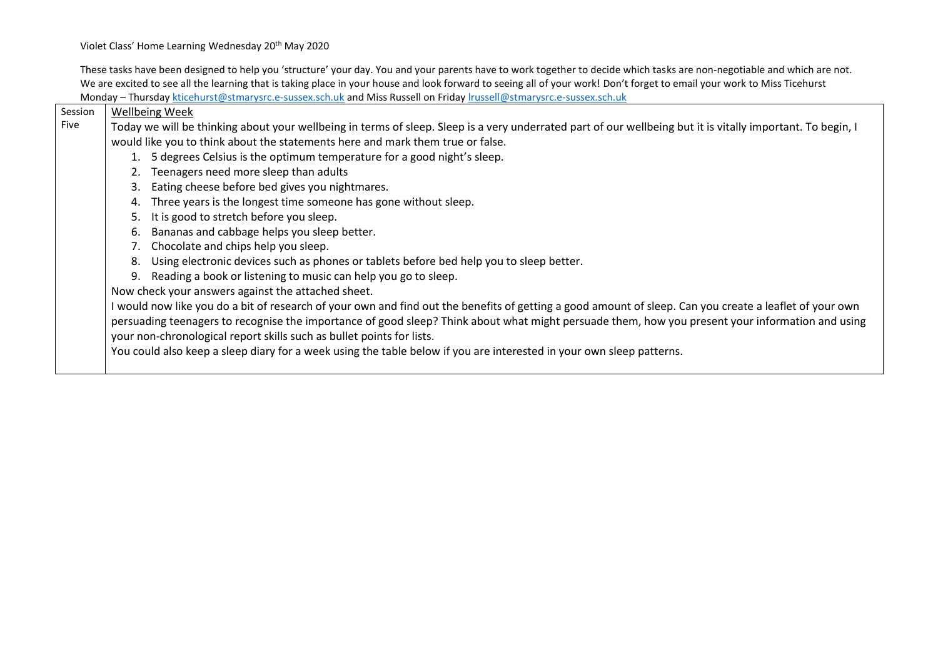Violet Class' Home Learning Wednesday 20<sup>th</sup> May 2020

These tasks have been designed to help you 'structure' your day. You and your parents have to work together to decide which tasks are non-negotiable and which are not. We are excited to see all the learning that is taking place in your house and look forward to seeing all of your work! Don't forget to email your work to Miss Ticehurst Monday – Thursday [kticehurst@stmarysrc.e-sussex.sch.uk](mailto:kticehurst@stmarysrc.e-sussex.sch.uk) and Miss Russell on Friday [lrussell@stmarysrc.e-sussex.sch.uk](mailto:lrussell@stmarysrc.e-sussex.sch.uk)

| Session | <b>Wellbeing Week</b>                                                                                                                                       |
|---------|-------------------------------------------------------------------------------------------------------------------------------------------------------------|
| Five    | Today we will be thinking about your wellbeing in terms of sleep. Sleep is a very underrated part of our wellbeing but it is vitally important. To begin, I |
|         | would like you to think about the statements here and mark them true or false.                                                                              |
|         | 1. 5 degrees Celsius is the optimum temperature for a good night's sleep.                                                                                   |
|         | 2. Teenagers need more sleep than adults                                                                                                                    |
|         | Eating cheese before bed gives you nightmares.<br>3.                                                                                                        |
|         | Three years is the longest time someone has gone without sleep.<br>4.                                                                                       |
|         | It is good to stretch before you sleep.<br>5.                                                                                                               |
|         | Bananas and cabbage helps you sleep better.<br>6.                                                                                                           |
|         | Chocolate and chips help you sleep.                                                                                                                         |
|         | Using electronic devices such as phones or tablets before bed help you to sleep better.<br>8.                                                               |
|         | Reading a book or listening to music can help you go to sleep.<br>9.                                                                                        |
|         | Now check your answers against the attached sheet.                                                                                                          |
|         | would now like you do a bit of research of your own and find out the benefits of getting a good amount of sleep. Can you create a leaflet of your own       |
|         | persuading teenagers to recognise the importance of good sleep? Think about what might persuade them, how you present your information and using            |
|         | your non-chronological report skills such as bullet points for lists.                                                                                       |
|         | You could also keep a sleep diary for a week using the table below if you are interested in your own sleep patterns.                                        |
|         |                                                                                                                                                             |